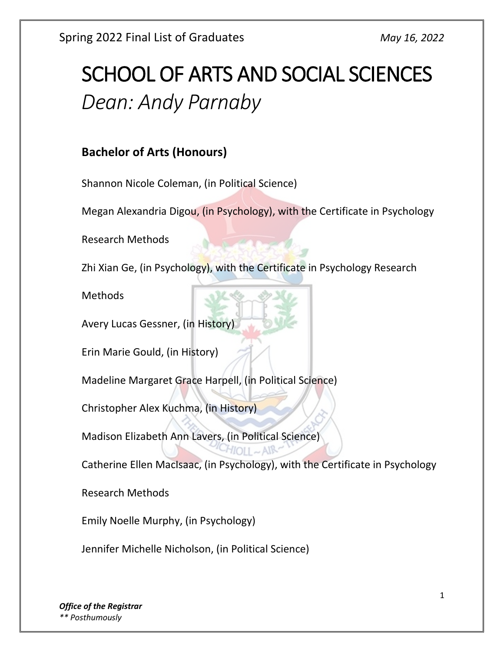# SCHOOL OF ARTS AND SOCIAL SCIENCES *Dean: Andy Parnaby*

# **Bachelor of Arts (Honours)**

Shannon Nicole Coleman, (in Political Science)

Megan Alexandria Digou, (in Psychology), with the Certificate in Psychology

Research Methods

Zhi Xian Ge, (in Psychology), with the Certificate in Psychology Research

Methods

Avery Lucas Gessner, (in History)

Erin Marie Gould, (in History)

Madeline Margaret Grace Harpell, (in Political Science)

Christopher Alex Kuchma, (in History)

Madison Elizabeth Ann Lavers, (in Political Science)

Catherine Ellen MacIsaac, (in Psychology), with the Certificate in Psychology

Research Methods

Emily Noelle Murphy, (in Psychology)

Jennifer Michelle Nicholson, (in Political Science)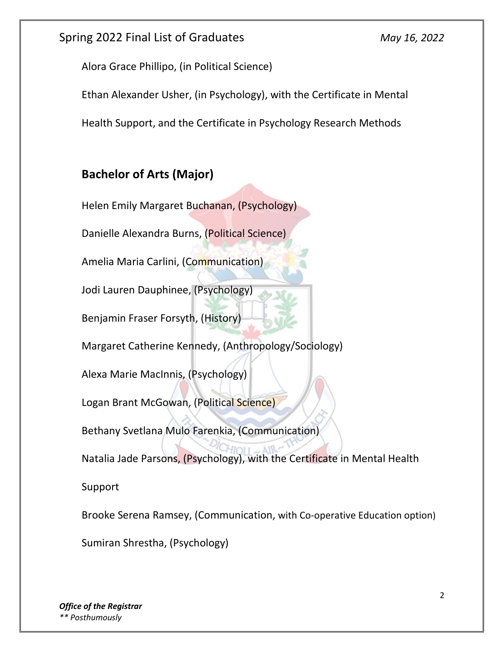Alora Grace Phillipo, (in Political Science)

Ethan Alexander Usher, (in Psychology), with the Certificate in Mental

Health Support, and the Certificate in Psychology Research Methods

# **Bachelor of Arts (Major)**

Helen Emily Margaret Buchanan, (Psychology)

Danielle Alexandra Burns, (Political Science)

Amelia Maria Carlini, (Communication)

Jodi Lauren Dauphinee, (Psychology)

Benjamin Fraser Forsyth, (History)

Margaret Catherine Kennedy, (Anthropology/Sociology)

Alexa Marie MacInnis, (Psychology)

Logan Brant McGowan, (Political Science)

Bethany Svetlana Mulo Farenkia, (Communication)

Natalia Jade Parsons, (Psychology), with the Certificate in Mental Health

Support

Brooke Serena Ramsey, (Communication, with Co-operative Education option)

Sumiran Shrestha, (Psychology)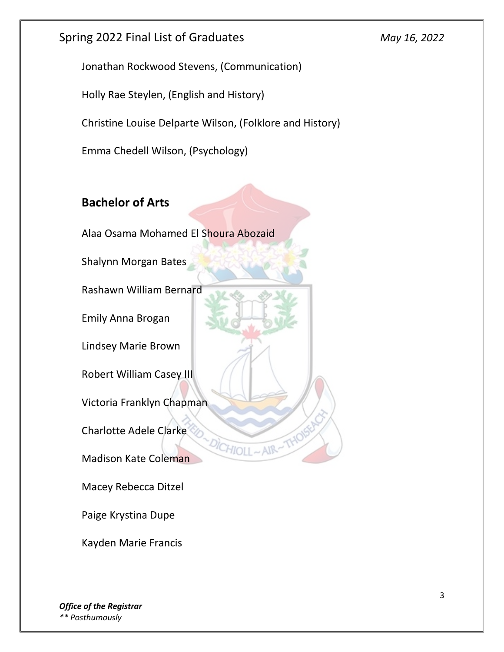Jonathan Rockwood Stevens, (Communication)

Holly Rae Steylen, (English and History)

Christine Louise Delparte Wilson, (Folklore and History)

 $H$ IO11

Emma Chedell Wilson, (Psychology)

# **Bachelor of Arts**

Alaa Osama Mohamed El Shoura Abozaid

Shalynn Morgan Bates

Rashawn William Bernard

Emily Anna Brogan

Lindsey Marie Brown

Robert William Casey III

Victoria Franklyn Chapman

Charlotte Adele Clarke

Madison Kate Coleman

Macey Rebecca Ditzel

Paige Krystina Dupe

Kayden Marie Francis

*Office of the Registrar \*\* Posthumously*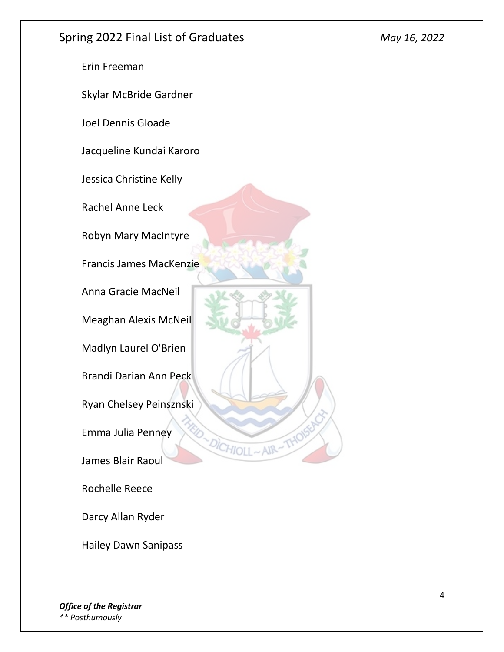Erin Freeman

Skylar McBride Gardner

Joel Dennis Gloade

Jacqueline Kundai Karoro

Jessica Christine Kelly

Rachel Anne Leck

Robyn Mary MacIntyre

Francis James MacKenzie

Anna Gracie MacNeil

Meaghan Alexis McNeil

Madlyn Laurel O'Brien

Brandi Darian Ann Peck

Ryan Chelsey Peinsznski

DICHIOLL

Emma Julia Penney

James Blair Raoul

Rochelle Reece

Darcy Allan Ryder

Hailey Dawn Sanipass

*Office of the Registrar \*\* Posthumously*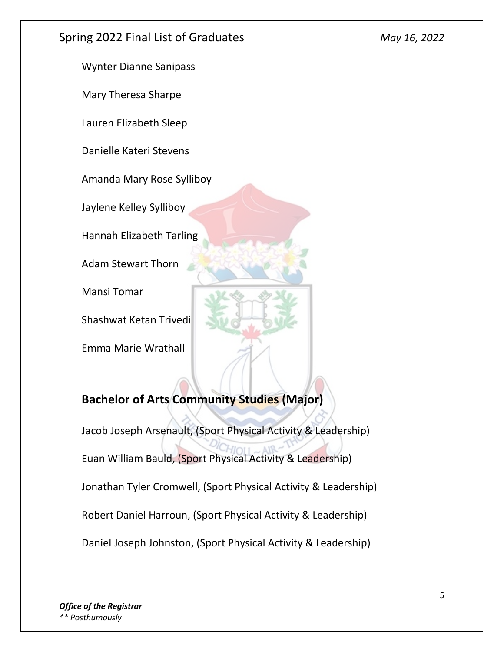Wynter Dianne Sanipass

Mary Theresa Sharpe

Lauren Elizabeth Sleep

Danielle Kateri Stevens

Amanda Mary Rose Sylliboy

Jaylene Kelley Sylliboy

Hannah Elizabeth Tarling

Adam Stewart Thorn

Mansi Tomar

Shashwat Ketan Trivedi

Emma Marie Wrathall



# **Bachelor of Arts Community Studies (Major)**

Jacob Joseph Arsenault, (Sport Physical Activity & Leadership) Euan William Bauld, (Sport Physical Activity & Leadership) Jonathan Tyler Cromwell, (Sport Physical Activity & Leadership) Robert Daniel Harroun, (Sport Physical Activity & Leadership) Daniel Joseph Johnston, (Sport Physical Activity & Leadership)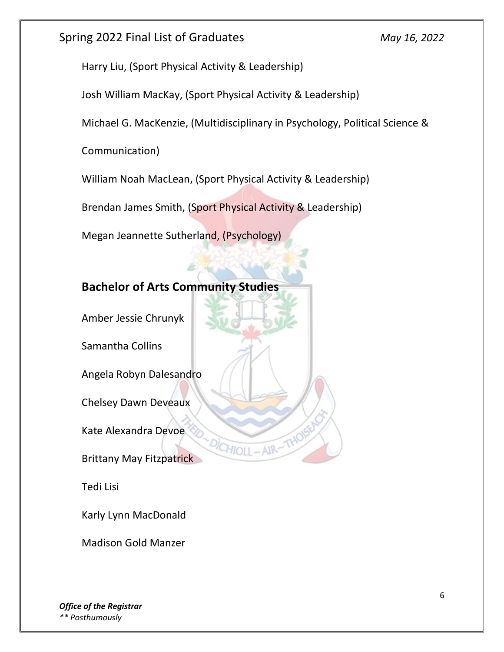Harry Liu, (Sport Physical Activity & Leadership)

Josh William MacKay, (Sport Physical Activity & Leadership)

Michael G. MacKenzie, (Multidisciplinary in Psychology, Political Science &

Communication)

William Noah MacLean, (Sport Physical Activity & Leadership)

Brendan James Smith, (Sport Physical Activity & Leadership)

HIO

Megan Jeannette Sutherland, (Psychology)

# **Bachelor of Arts Community Studies**

Amber Jessie Chrunyk

Samantha Collins

Angela Robyn Dalesandro

Chelsey Dawn Deveaux

Kate Alexandra Devoe

Brittany May Fitzpatrick

Tedi Lisi

Karly Lynn MacDonald

Madison Gold Manzer

*Office of the Registrar \*\* Posthumously*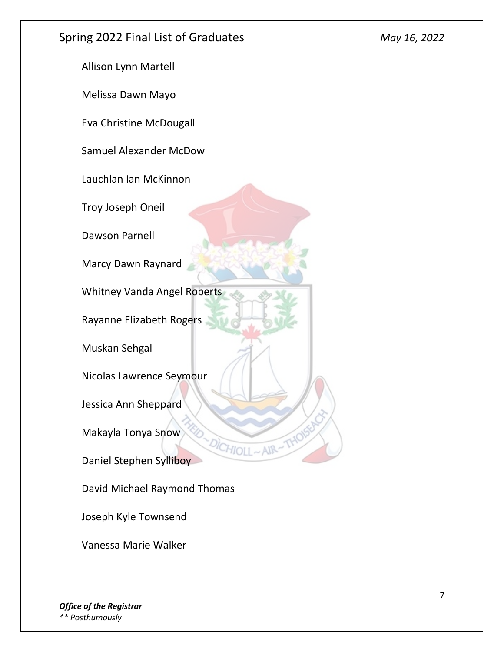Allison Lynn Martell

Melissa Dawn Mayo

Eva Christine McDougall

Samuel Alexander McDow

Lauchlan Ian McKinnon

Troy Joseph Oneil

Dawson Parnell

Marcy Dawn Raynard

Whitney Vanda Angel Roberts

Rayanne Elizabeth Rogers

Muskan Sehgal

Nicolas Lawrence Seymour

Jessica Ann Sheppard

Makayla Tonya Snow

Daniel Stephen Sylliboy

David Michael Raymond Thomas

Joseph Kyle Townsend

Vanessa Marie Walker

*Office of the Registrar \*\* Posthumously*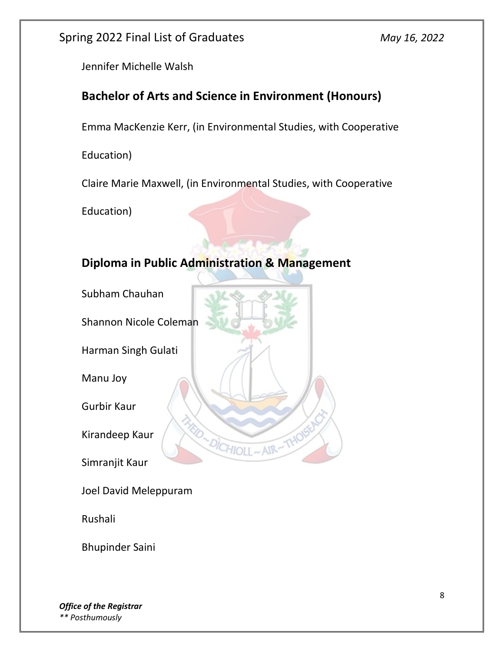Jennifer Michelle Walsh

# **Bachelor of Arts and Science in Environment (Honours)**

Emma MacKenzie Kerr, (in Environmental Studies, with Cooperative

Education)

Claire Marie Maxwell, (in Environmental Studies, with Cooperative

Education)

# **Diploma in Public Administration & Management**

DICHIOLL

AIR

Subham Chauhan

Shannon Nicole Coleman

Harman Singh Gulati

Manu Joy

Gurbir Kaur

Kirandeep Kaur

Simranjit Kaur

Joel David Meleppuram

Rushali

Bhupinder Saini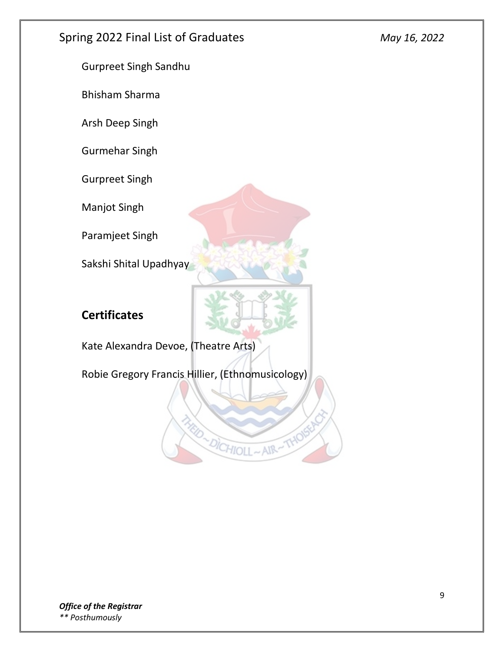Gurpreet Singh Sandhu

Bhisham Sharma

Arsh Deep Singh

Gurmehar Singh

Gurpreet Singh

Manjot Singh

Paramjeet Singh

Sakshi Shital Upadhyay

# **Certificates**

Kate Alexandra Devoe, (Theatre Arts)

Robie Gregory Francis Hillier, (Ethnomusicology)

D-DICHIOLL-AIR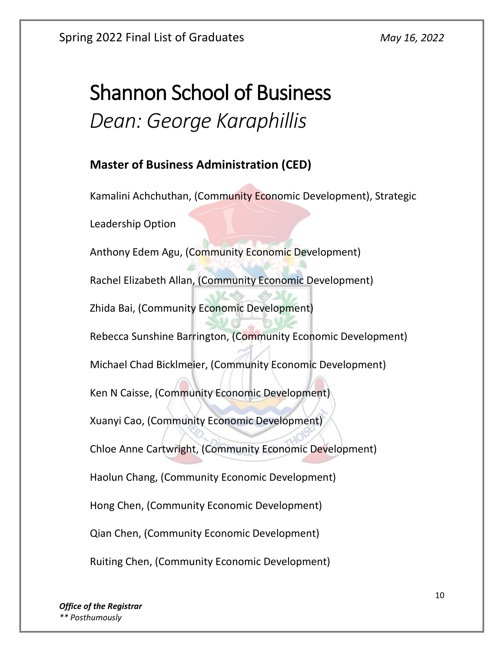# Shannon School of Business *Dean: George Karaphillis*

#### **Master of Business Administration (CED)**

Kamalini Achchuthan, (Community Economic Development), Strategic Leadership Option Anthony Edem Agu, (Community Economic Development) Rachel Elizabeth Allan, (Community Economic Development) Zhida Bai, (Community Economic Development) Rebecca Sunshine Barrington, (Community Economic Development) Michael Chad Bicklmeier, (Community Economic Development) Ken N Caisse, (Community Economic Development) Xuanyi Cao, (Community Economic Development) Chloe Anne Cartwright, (Community Economic Development) Haolun Chang, (Community Economic Development) Hong Chen, (Community Economic Development) Qian Chen, (Community Economic Development) Ruiting Chen, (Community Economic Development)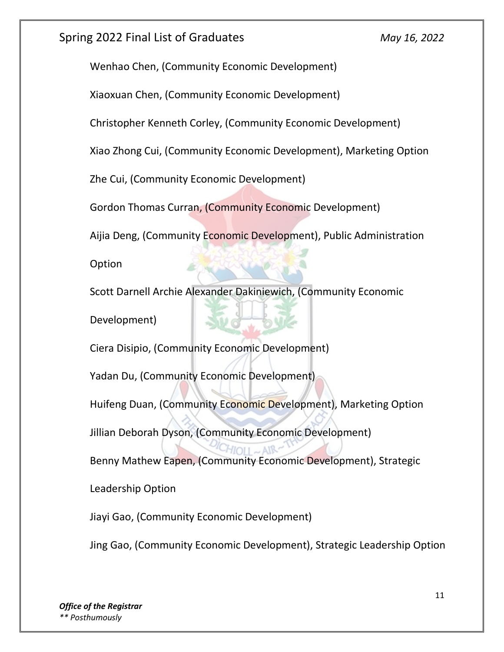Wenhao Chen, (Community Economic Development)

Xiaoxuan Chen, (Community Economic Development)

Christopher Kenneth Corley, (Community Economic Development)

Xiao Zhong Cui, (Community Economic Development), Marketing Option

Zhe Cui, (Community Economic Development)

Gordon Thomas Curran, (Community Economic Development)

Aijia Deng, (Community Economic Development), Public Administration

Option

Scott Darnell Archie Alexander Dakiniewich, (Community Economic Development)

Ciera Disipio, (Community Economic Development)

Yadan Du, (Community Economic Development)

Huifeng Duan, (Community Economic Development), Marketing Option

Jillian Deborah Dyson, (Community Economic Development)

Benny Mathew Eapen, (Community Economic Development), Strategic

Leadership Option

Jiayi Gao, (Community Economic Development)

Jing Gao, (Community Economic Development), Strategic Leadership Option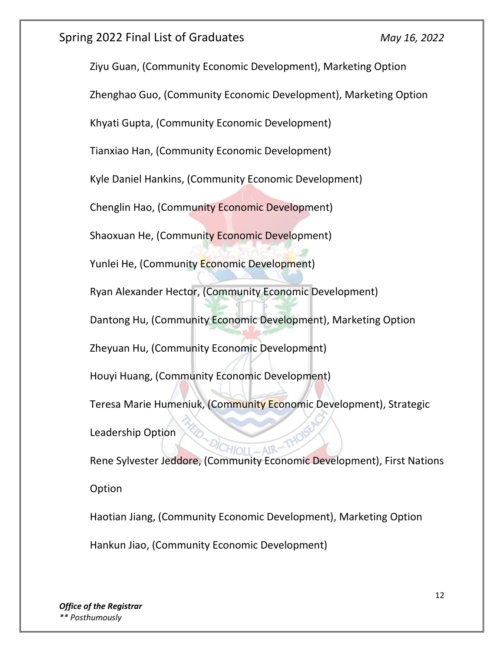Ziyu Guan, (Community Economic Development), Marketing Option Zhenghao Guo, (Community Economic Development), Marketing Option Khyati Gupta, (Community Economic Development) Tianxiao Han, (Community Economic Development) Kyle Daniel Hankins, (Community Economic Development) Chenglin Hao, (Community Economic Development) Shaoxuan He, (Community Economic Development) Yunlei He, (Community Economic Development) Ryan Alexander Hector, (Community Economic Development) Dantong Hu, (Community Economic Development), Marketing Option Zheyuan Hu, (Community Economic Development) Houyi Huang, (Community Economic Development) Teresa Marie Humeniuk, (Community Economic Development), Strategic Leadership Option Rene Sylvester Jeddore, (Community Economic Development), First Nations Option Haotian Jiang, (Community Economic Development), Marketing Option Hankun Jiao, (Community Economic Development)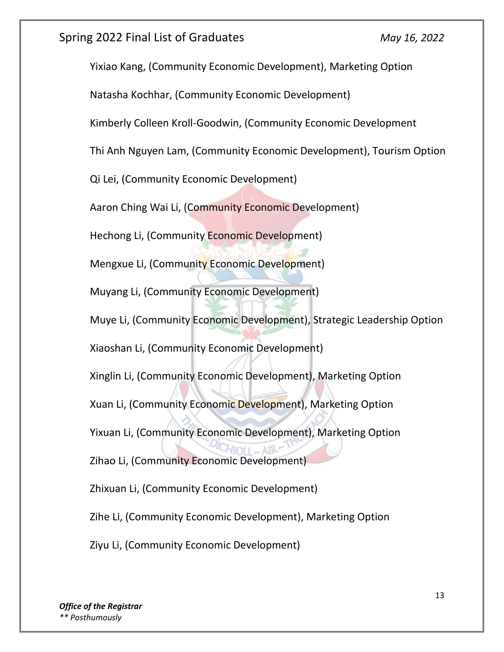Yixiao Kang, (Community Economic Development), Marketing Option Natasha Kochhar, (Community Economic Development) Kimberly Colleen Kroll-Goodwin, (Community Economic Development Thi Anh Nguyen Lam, (Community Economic Development), Tourism Option Qi Lei, (Community Economic Development) Aaron Ching Wai Li, (Community Economic Development) Hechong Li, (Community Economic Development) Mengxue Li, (Community Economic Development) Muyang Li, (Community Economic Development) Muye Li, (Community Economic Development), Strategic Leadership Option Xiaoshan Li, (Community Economic Development) Xinglin Li, (Community Economic Development), Marketing Option Xuan Li, (Community Economic Development), Marketing Option Yixuan Li, (Community Economic Development), Marketing Option Zihao Li, (Community Economic Development) Zhixuan Li, (Community Economic Development) Zihe Li, (Community Economic Development), Marketing Option Ziyu Li, (Community Economic Development)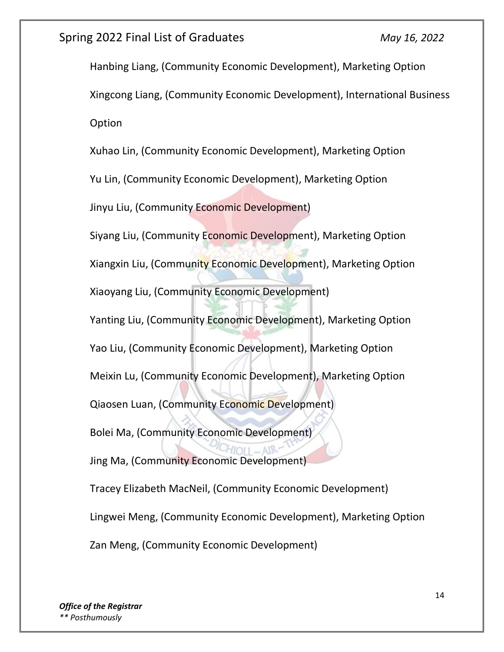Hanbing Liang, (Community Economic Development), Marketing Option Xingcong Liang, (Community Economic Development), International Business **Option** Xuhao Lin, (Community Economic Development), Marketing Option Yu Lin, (Community Economic Development), Marketing Option Jinyu Liu, (Community Economic Development) Siyang Liu, (Community Economic Development), Marketing Option Xiangxin Liu, (Community Economic Development), Marketing Option Xiaoyang Liu, (Community Economic Development) Yanting Liu, (Community Economic Development), Marketing Option Yao Liu, (Community Economic Development), Marketing Option Meixin Lu, (Community Economic Development), Marketing Option Qiaosen Luan, (Community Economic Development) Bolei Ma, (Community Economic Development) Jing Ma, (Community Economic Development) Tracey Elizabeth MacNeil, (Community Economic Development) Lingwei Meng, (Community Economic Development), Marketing Option Zan Meng, (Community Economic Development)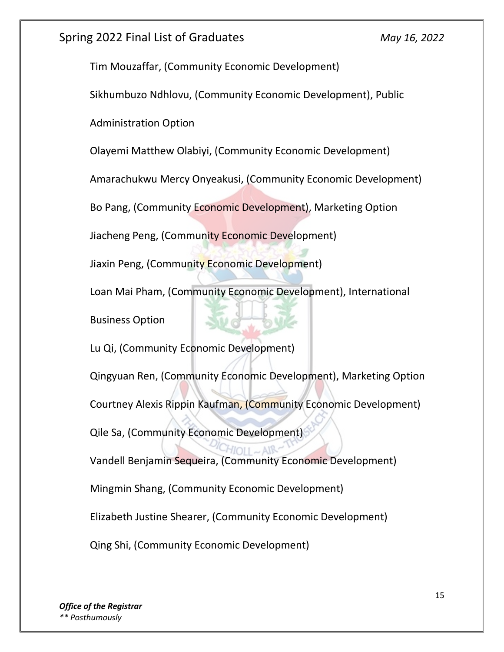Tim Mouzaffar, (Community Economic Development)

Sikhumbuzo Ndhlovu, (Community Economic Development), Public

Administration Option

Olayemi Matthew Olabiyi, (Community Economic Development)

Amarachukwu Mercy Onyeakusi, (Community Economic Development)

Bo Pang, (Community Economic Development), Marketing Option

Jiacheng Peng, (Community Economic Development)

Jiaxin Peng, (Community Economic Development)

Loan Mai Pham, (Community Economic Development), International

Business Option

Lu Qi, (Community Economic Development)

Qingyuan Ren, (Community Economic Development), Marketing Option

Courtney Alexis Rippin Kaufman, (Community Economic Development)

Qile Sa, (Community Economic Development)

Vandell Benjamin Sequeira, (Community Economic Development)

Mingmin Shang, (Community Economic Development)

Elizabeth Justine Shearer, (Community Economic Development)

Qing Shi, (Community Economic Development)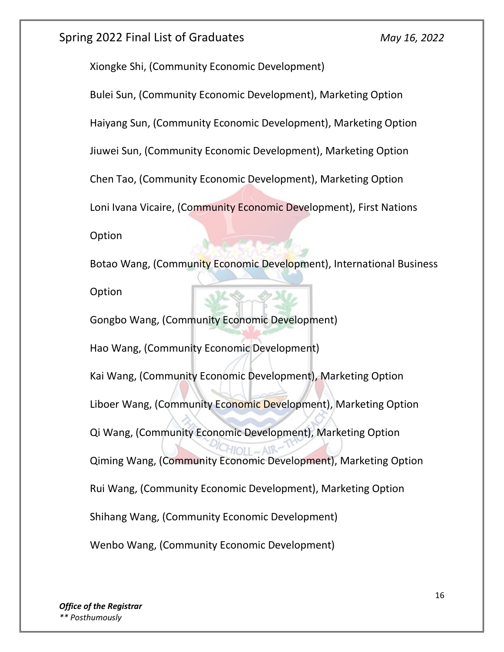Xiongke Shi, (Community Economic Development)

Bulei Sun, (Community Economic Development), Marketing Option

Haiyang Sun, (Community Economic Development), Marketing Option

Jiuwei Sun, (Community Economic Development), Marketing Option

Chen Tao, (Community Economic Development), Marketing Option

Loni Ivana Vicaire, (Community Economic Development), First Nations

Option

Botao Wang, (Community Economic Development), International Business Option

Gongbo Wang, (Community Economic Development) Hao Wang, (Community Economic Development) Kai Wang, (Community Economic Development), Marketing Option Liboer Wang, (Community Economic Development), Marketing Option Qi Wang, (Community Economic Development), Marketing Option Qiming Wang, (Community Economic Development), Marketing Option Rui Wang, (Community Economic Development), Marketing Option Shihang Wang, (Community Economic Development) Wenbo Wang, (Community Economic Development)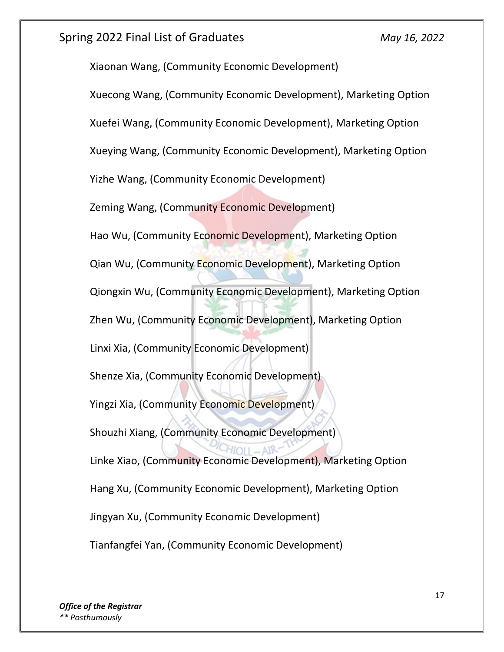Xiaonan Wang, (Community Economic Development) Xuecong Wang, (Community Economic Development), Marketing Option Xuefei Wang, (Community Economic Development), Marketing Option Xueying Wang, (Community Economic Development), Marketing Option Yizhe Wang, (Community Economic Development) Zeming Wang, (Community Economic Development) Hao Wu, (Community Economic Development), Marketing Option Qian Wu, (Community Economic Development), Marketing Option Qiongxin Wu, (Community Economic Development), Marketing Option Zhen Wu, (Community Economic Development), Marketing Option Linxi Xia, (Community Economic Development) Shenze Xia, (Community Economic Development) Yingzi Xia, (Community Economic Development) Shouzhi Xiang, (Community Economic Development) Linke Xiao, (Community Economic Development), Marketing Option Hang Xu, (Community Economic Development), Marketing Option Jingyan Xu, (Community Economic Development) Tianfangfei Yan, (Community Economic Development)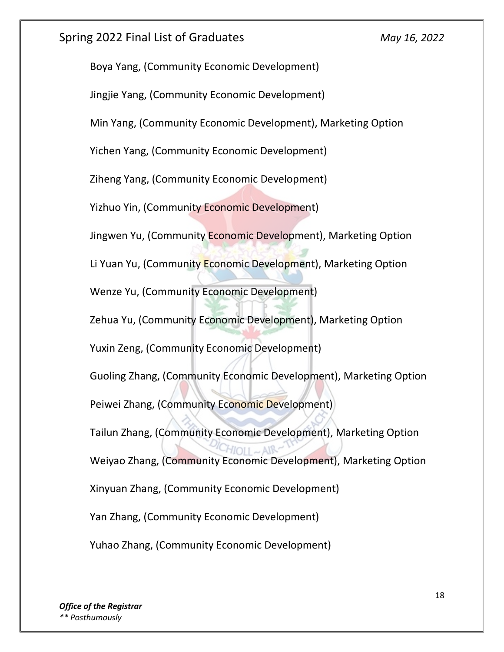Boya Yang, (Community Economic Development) Jingjie Yang, (Community Economic Development) Min Yang, (Community Economic Development), Marketing Option Yichen Yang, (Community Economic Development) Ziheng Yang, (Community Economic Development) Yizhuo Yin, (Community Economic Development) Jingwen Yu, (Community Economic Development), Marketing Option Li Yuan Yu, (Community Economic Development), Marketing Option Wenze Yu, (Community Economic Development) Zehua Yu, (Community Economic Development), Marketing Option Yuxin Zeng, (Community Economic Development) Guoling Zhang, (Community Economic Development), Marketing Option Peiwei Zhang, (Community Economic Development) Tailun Zhang, (Community Economic Development), Marketing Option Weiyao Zhang, (Community Economic Development), Marketing Option Xinyuan Zhang, (Community Economic Development) Yan Zhang, (Community Economic Development) Yuhao Zhang, (Community Economic Development)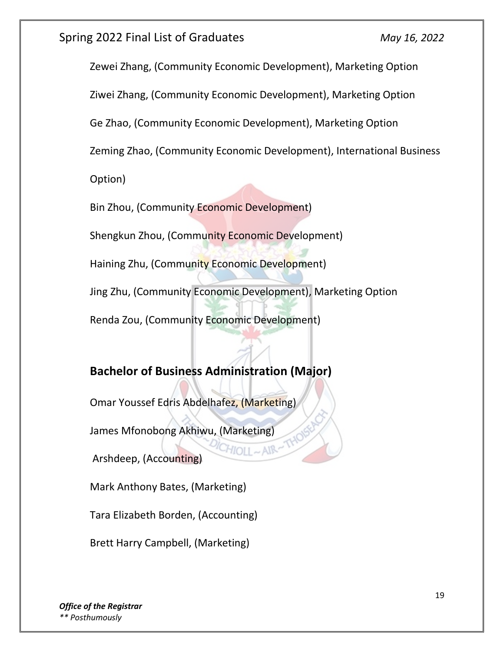Zewei Zhang, (Community Economic Development), Marketing Option

Ziwei Zhang, (Community Economic Development), Marketing Option

Ge Zhao, (Community Economic Development), Marketing Option

Zeming Zhao, (Community Economic Development), International Business

Option)

Bin Zhou, (Community Economic Development)

Shengkun Zhou, (Community Economic Development)

Haining Zhu, (Community Economic Development)

Jing Zhu, (Community Economic Development), Marketing Option

AIR

Renda Zou, (Community Economic Development)

# **Bachelor of Business Administration (Major)**

Omar Youssef Edris Abdelhafez, (Marketing)

James Mfonobong Akhiwu, (Marketing)

Arshdeep, (Accounting)

Mark Anthony Bates, (Marketing)

Tara Elizabeth Borden, (Accounting)

Brett Harry Campbell, (Marketing)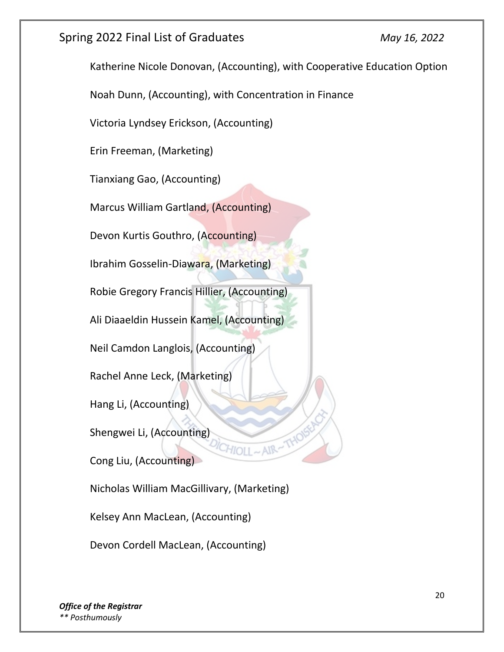Katherine Nicole Donovan, (Accounting), with Cooperative Education Option Noah Dunn, (Accounting), with Concentration in Finance Victoria Lyndsey Erickson, (Accounting) Erin Freeman, (Marketing) Tianxiang Gao, (Accounting) Marcus William Gartland, (Accounting) Devon Kurtis Gouthro, (Accounting) Ibrahim Gosselin-Diawara, (Marketing) Robie Gregory Francis Hillier, (Accounting) Ali Diaaeldin Hussein Kamel, (Accounting) Neil Camdon Langlois, (Accounting) Rachel Anne Leck, (Marketing) Hang Li, (Accounting) Shengwei Li, (Accounting) Cong Liu, (Accounting) Nicholas William MacGillivary, (Marketing) Kelsey Ann MacLean, (Accounting)

Devon Cordell MacLean, (Accounting)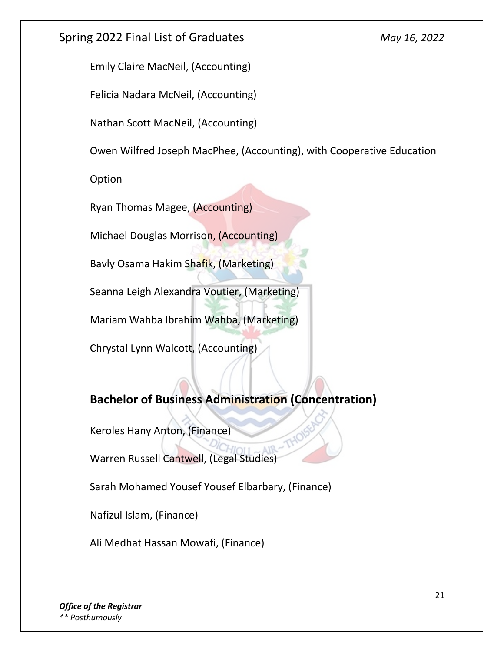Emily Claire MacNeil, (Accounting)

Felicia Nadara McNeil, (Accounting)

Nathan Scott MacNeil, (Accounting)

Owen Wilfred Joseph MacPhee, (Accounting), with Cooperative Education

Option

Ryan Thomas Magee, (Accounting)

Michael Douglas Morrison, (Accounting)

Bavly Osama Hakim Shafik, (Marketing)

Seanna Leigh Alexandra Voutier, (Marketing)

Mariam Wahba Ibrahim Wahba, (Marketing)

Chrystal Lynn Walcott, (Accounting)

# **Bachelor of Business Administration (Concentration)**

Keroles Hany Anton, (Finance)

Warren Russell Cantwell, (Legal Studies)

Sarah Mohamed Yousef Yousef Elbarbary, (Finance)

Nafizul Islam, (Finance)

Ali Medhat Hassan Mowafi, (Finance)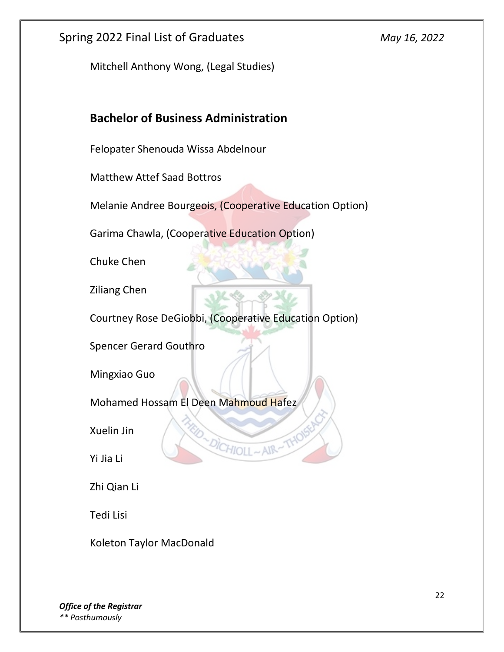Mitchell Anthony Wong, (Legal Studies)

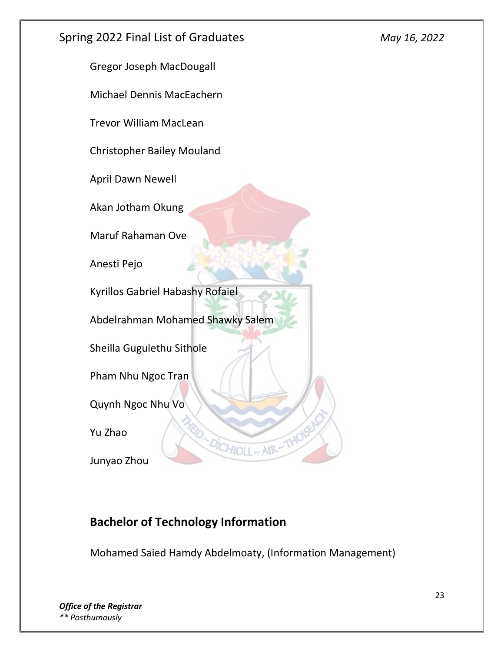

Michael Dennis MacEachern

Trevor William MacLean

Christopher Bailey Mouland

April Dawn Newell

Akan Jotham Okung

Maruf Rahaman Ove

Anesti Pejo

Kyrillos Gabriel Habashy Rofaiel

Abdelrahman Mohamed Shawky Salem

Sheilla Gugulethu Sithole

Pham Nhu Ngoc Tran

Quynh Ngoc Nhu Vo

Yu Zhao

Junyao Zhou

#### **Bachelor of Technology Information**

Mohamed Saied Hamdy Abdelmoaty, (Information Management)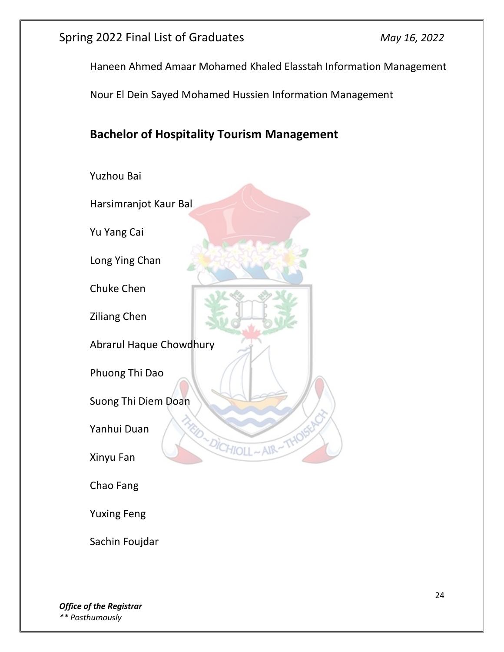Haneen Ahmed Amaar Mohamed Khaled Elasstah Information Management

Nour El Dein Sayed Mohamed Hussien Information Management

# **Bachelor of Hospitality Tourism Management**



Sachin Foujdar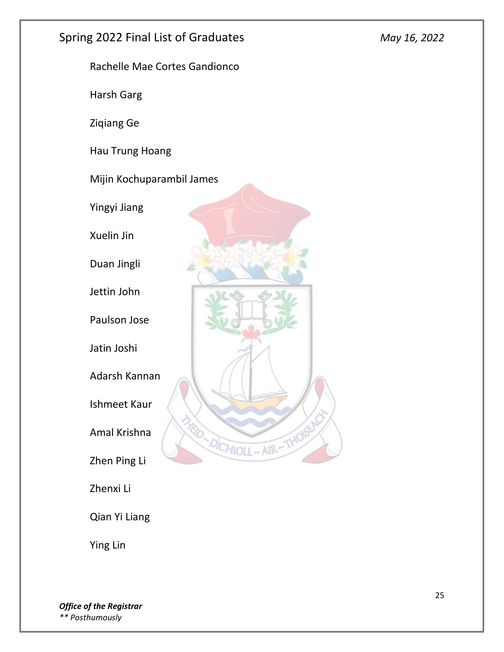Rachelle Mae Cortes Gandionco Harsh Garg Ziqiang Ge Hau Trung Hoang Mijin Kochuparambil James Yingyi Jiang Xuelin Jin Duan Jingli Jettin John Paulson Jose Jatin Joshi Adarsh Kannan Ishmeet Kaur **RID ~ DICHIOLL** Amal Krishna  $-MR$ Zhen Ping Li Zhenxi Li Qian Yi Liang Ying Lin

*Office of the Registrar \*\* Posthumously*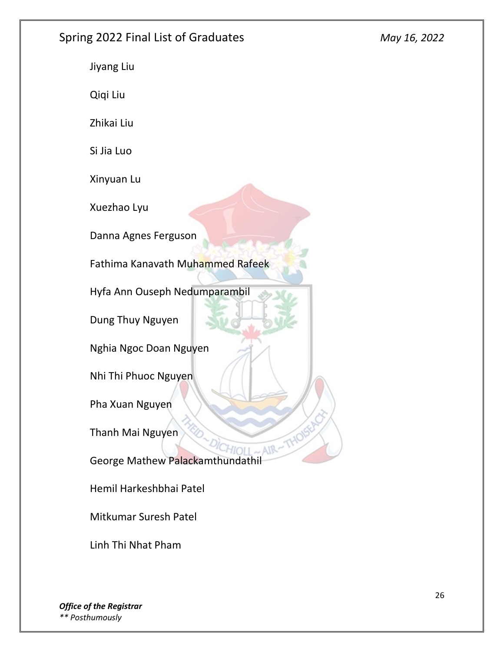Jiyang Liu Qiqi Liu Zhikai Liu Si Jia Luo Xinyuan Lu Xuezhao Lyu Danna Agnes Ferguson Fathima Kanavath Muhammed Rafeek Hyfa Ann Ouseph Nedumparambil Dung Thuy Nguyen Nghia Ngoc Doan Nguyen Nhi Thi Phuoc Nguyen Pha Xuan Nguyen Thanh Mai Nguyen AIR: George Mathew Palackamthundathil Hemil Harkeshbhai Patel Mitkumar Suresh Patel Linh Thi Nhat Pham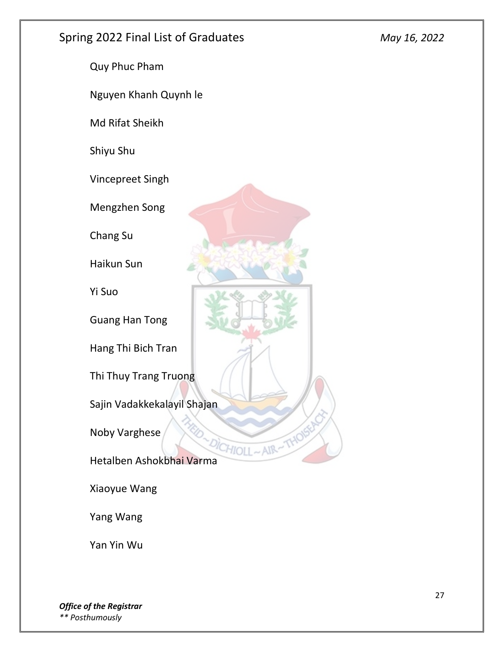![](_page_26_Picture_2.jpeg)

Yang Wang

Yan Yin Wu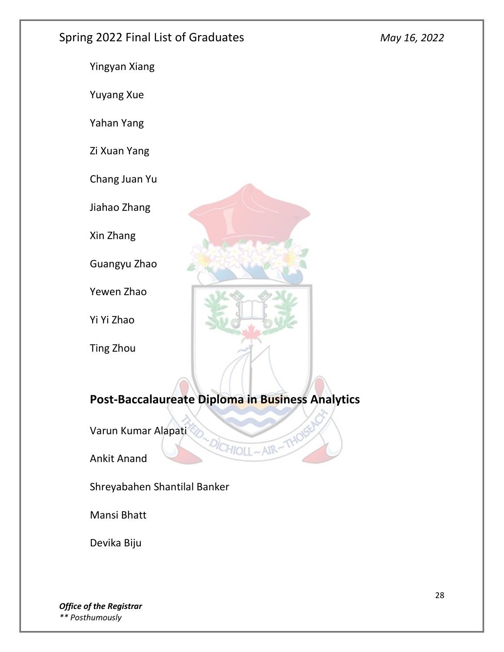![](_page_27_Picture_2.jpeg)

# **Post-Baccalaureate Diploma in Business Analytics**

DICHIOLL~AIR

Varun Kumar Alapati

Ankit Anand

Shreyabahen Shantilal Banker

Mansi Bhatt

Devika Biju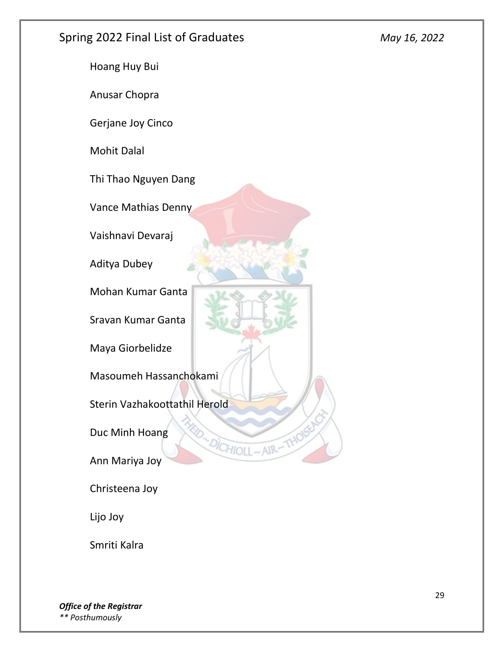![](_page_28_Picture_2.jpeg)

Smriti Kalra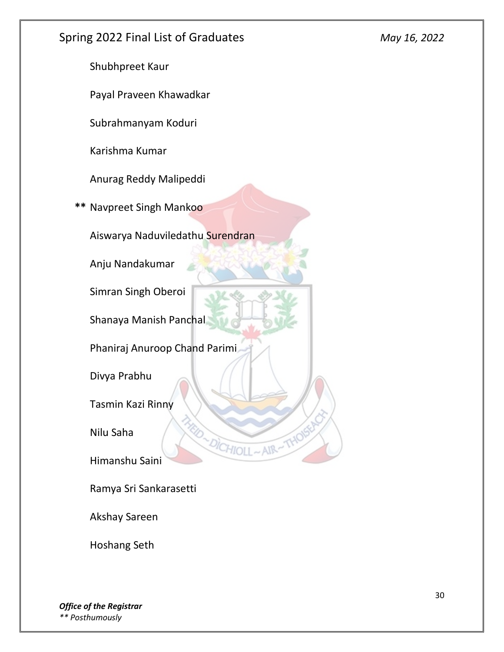![](_page_29_Picture_0.jpeg)

Hoshang Seth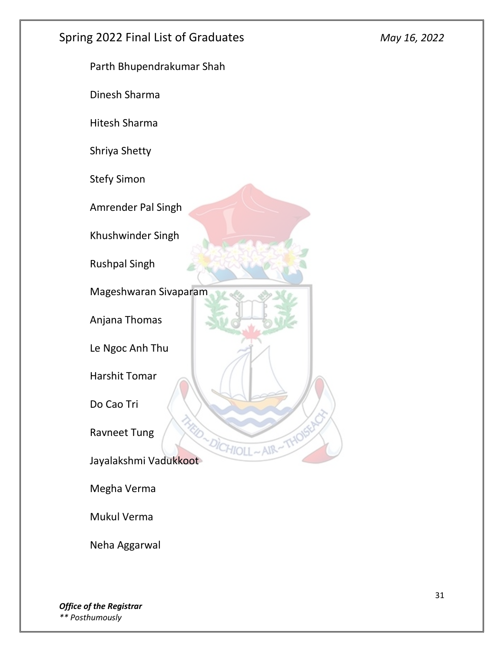![](_page_30_Picture_2.jpeg)

Mukul Verma

Neha Aggarwal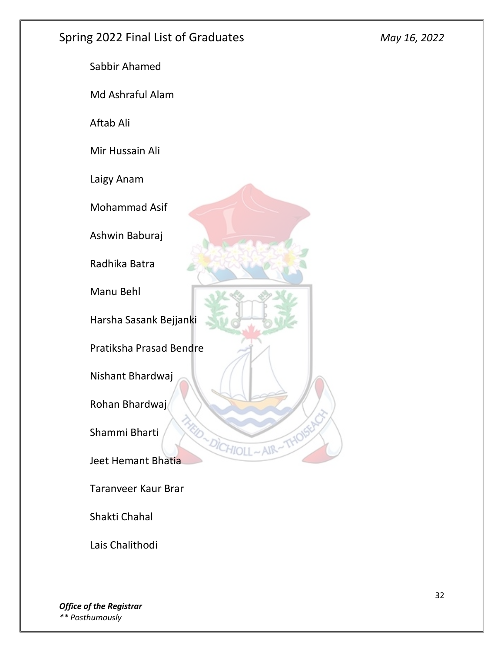![](_page_31_Picture_2.jpeg)

Lais Chalithodi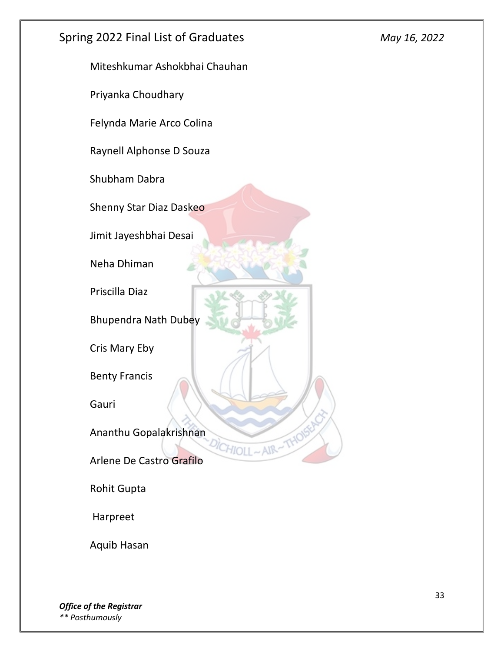![](_page_32_Picture_0.jpeg)

Aquib Hasan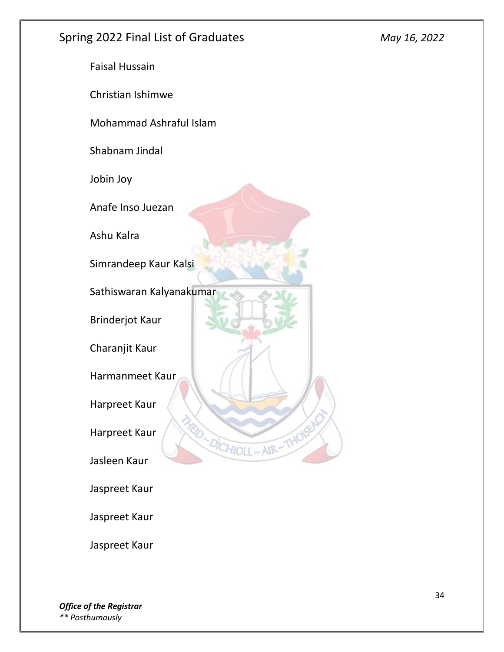![](_page_33_Picture_2.jpeg)

Jaspreet Kaur

Jaspreet Kaur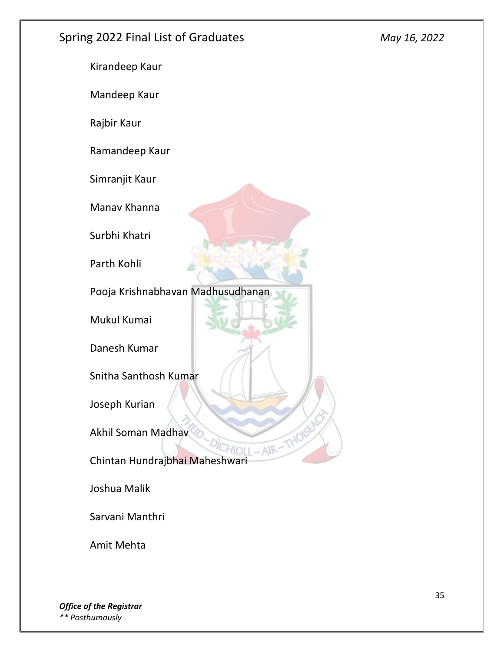Kirandeep Kaur Mandeep Kaur Rajbir Kaur Ramandeep Kaur Simranjit Kaur Manav Khanna Surbhi Khatri Parth Kohli Pooja Krishnabhavan Madhusudhanan Mukul Kumai Danesh Kumar Snitha Santhosh Kumar Joseph Kurian Akhil Soman Madhav AIR Chintan Hundrajbhai Maheshwari Joshua Malik Sarvani Manthri

Amit Mehta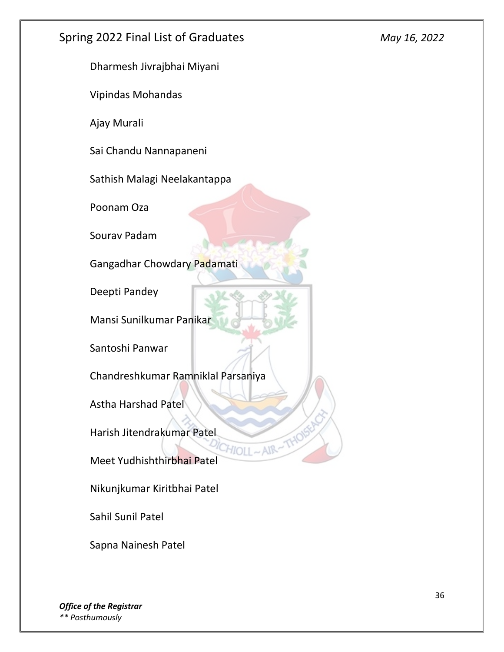Dharmesh Jivrajbhai Miyani

Vipindas Mohandas

Ajay Murali

Sai Chandu Nannapaneni

Sathish Malagi Neelakantappa

Poonam Oza

Sourav Padam

Gangadhar Chowdary Padamati

Deepti Pandey

Mansi Sunilkumar Panikar

Santoshi Panwar

Chandreshkumar Ramniklal Parsaniya

AIR-

Astha Harshad Patel

Harish Jitendrakumar Patel

Meet Yudhishthirbhai Patel

Nikunjkumar Kiritbhai Patel

Sahil Sunil Patel

Sapna Nainesh Patel

*Office of the Registrar \*\* Posthumously*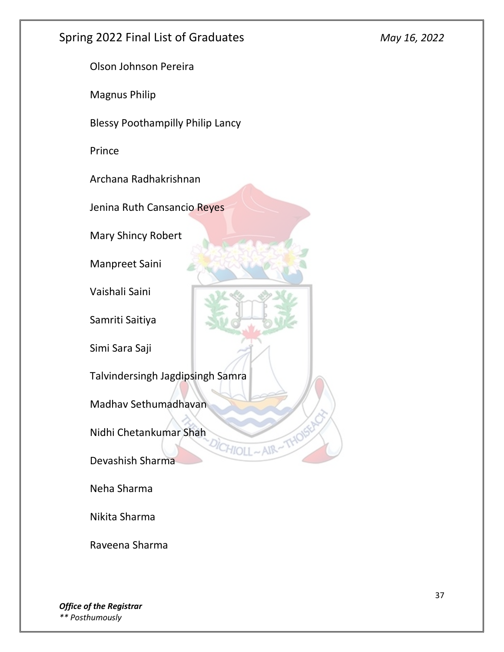Olson Johnson Pereira Magnus Philip Blessy Poothampilly Philip Lancy Prince Archana Radhakrishnan Jenina Ruth Cansancio Reyes Mary Shincy Robert Manpreet Saini Vaishali Saini Samriti Saitiya Simi Sara Saji Talvindersingh Jagdipsingh Samra Madhav Sethumadhavan Nidhi Chetankumar Shah CHIOLL **AIR** Devashish Sharma Neha Sharma

Nikita Sharma

Raveena Sharma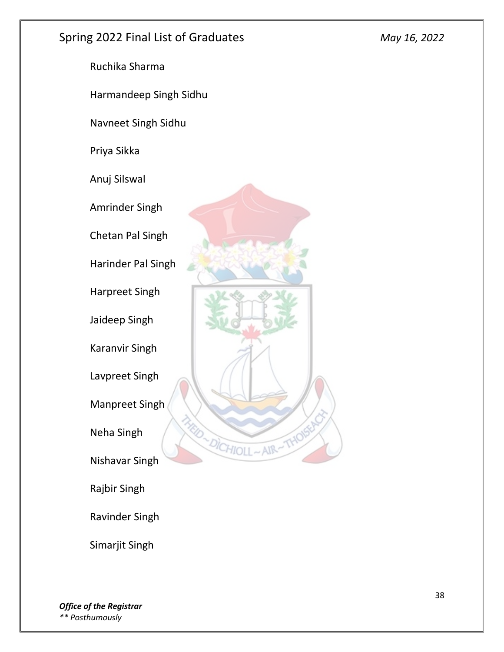![](_page_37_Picture_2.jpeg)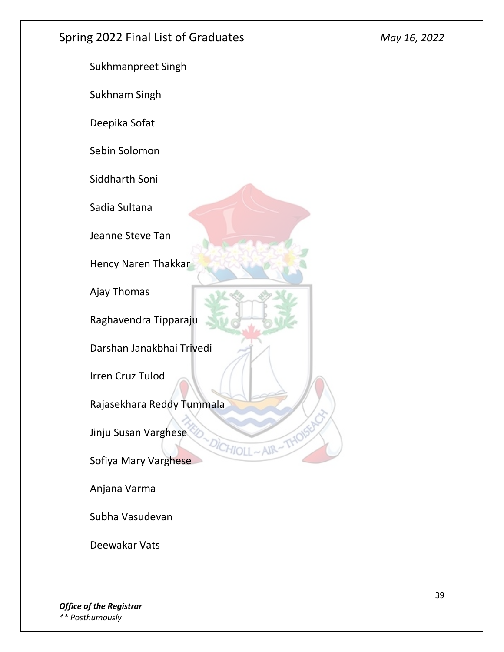![](_page_38_Picture_2.jpeg)

Deewakar Vats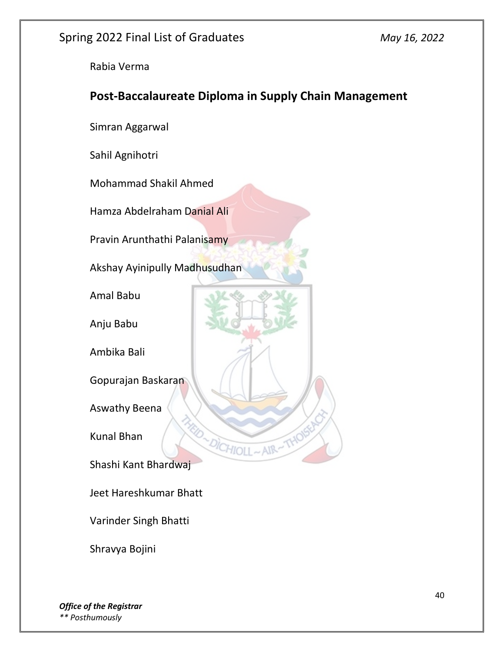Rabia Verma

# **Post-Baccalaureate Diploma in Supply Chain Management**

HIOI

Simran Aggarwal

Sahil Agnihotri

Mohammad Shakil Ahmed

Hamza Abdelraham Danial Ali

Pravin Arunthathi Palanisamy

Akshay Ayinipully Madhusudhan

Amal Babu

Anju Babu

Ambika Bali

Gopurajan Baskaran

Aswathy Beena

Kunal Bhan

Shashi Kant Bhardwaj

Jeet Hareshkumar Bhatt

Varinder Singh Bhatti

Shravya Bojini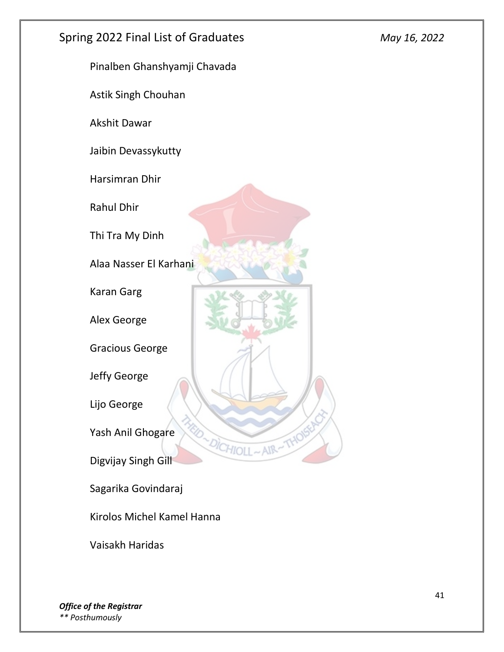![](_page_40_Picture_0.jpeg)

Kirolos Michel Kamel Hanna

Vaisakh Haridas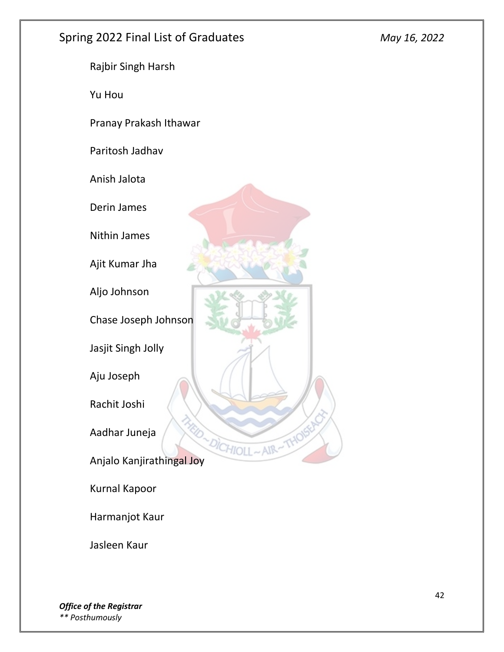![](_page_41_Picture_2.jpeg)

Jasleen Kaur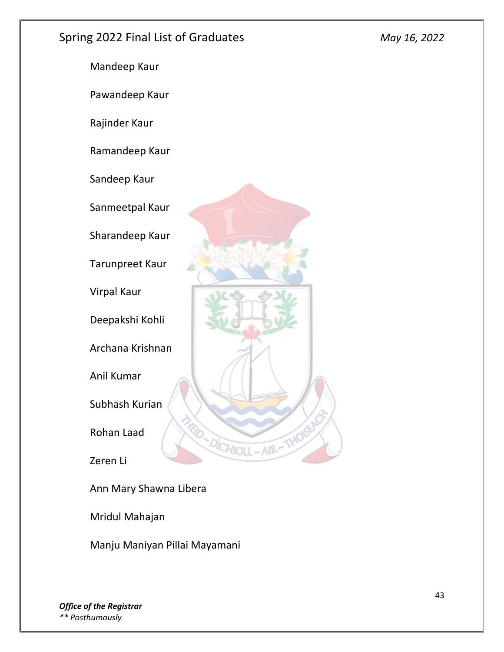![](_page_42_Picture_2.jpeg)

Ann Mary Shawna Libera

Mridul Mahajan

Manju Maniyan Pillai Mayamani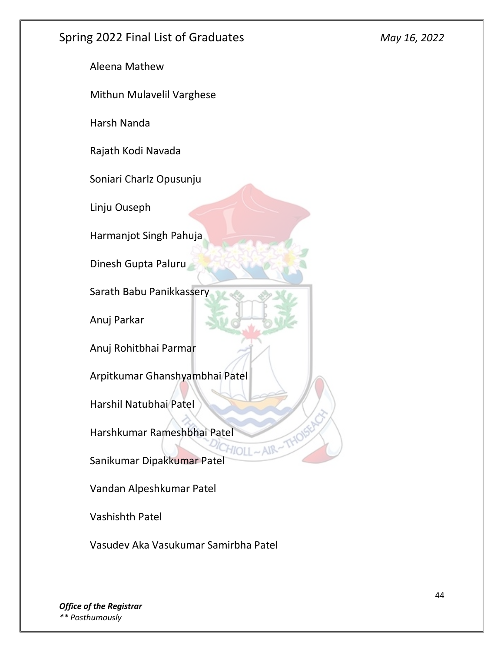Aleena Mathew

Mithun Mulavelil Varghese

Harsh Nanda

Rajath Kodi Navada

Soniari Charlz Opusunju

Linju Ouseph

Harmanjot Singh Pahuja

Dinesh Gupta Paluru

Sarath Babu Panikkassery

Anuj Parkar

Anuj Rohitbhai Parmar

Arpitkumar Ghanshyambhai Patel

Harshil Natubhai Patel

Harshkumar Rameshbhai Patel

Sanikumar Dipakkumar Patel

Vandan Alpeshkumar Patel

Vashishth Patel

Vasudev Aka Vasukumar Samirbha Patel

*Office of the Registrar \*\* Posthumously*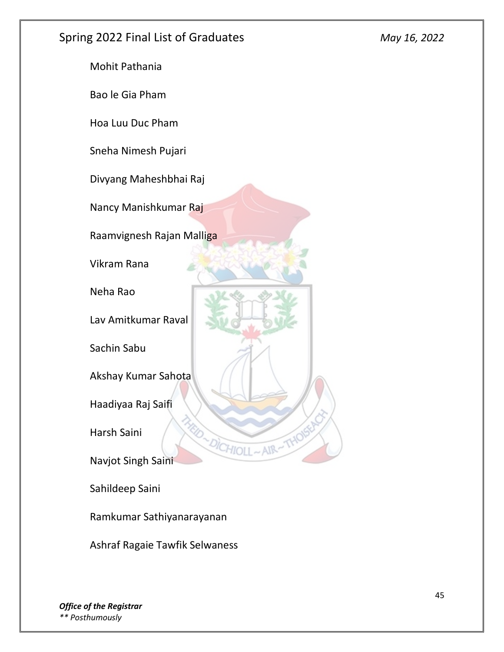![](_page_44_Picture_2.jpeg)

Sahildeep Saini

Ramkumar Sathiyanarayanan

Ashraf Ragaie Tawfik Selwaness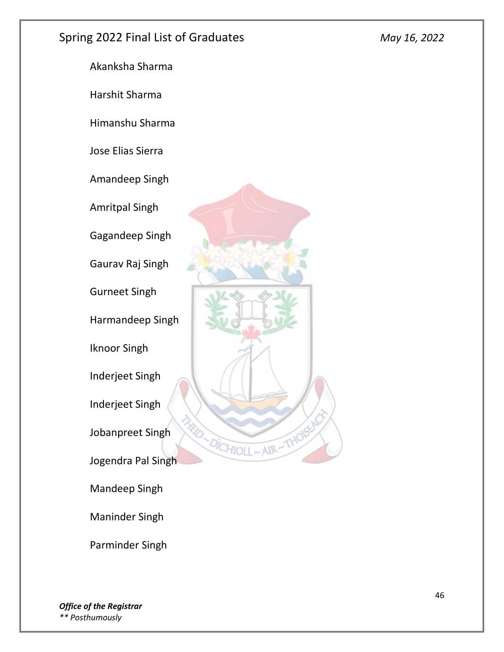![](_page_45_Picture_2.jpeg)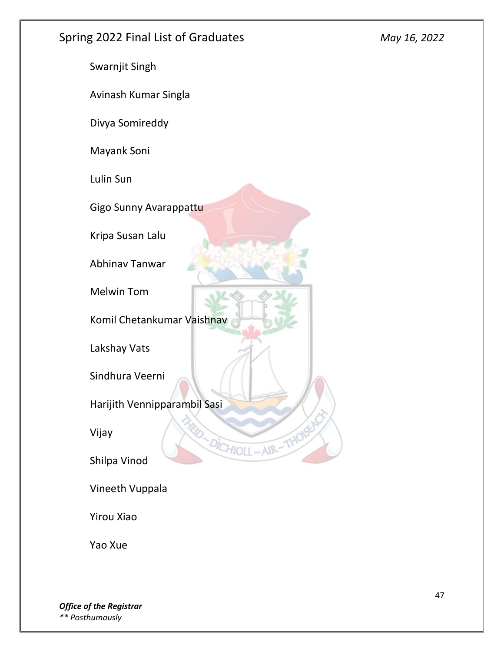![](_page_46_Picture_2.jpeg)

Yao Xue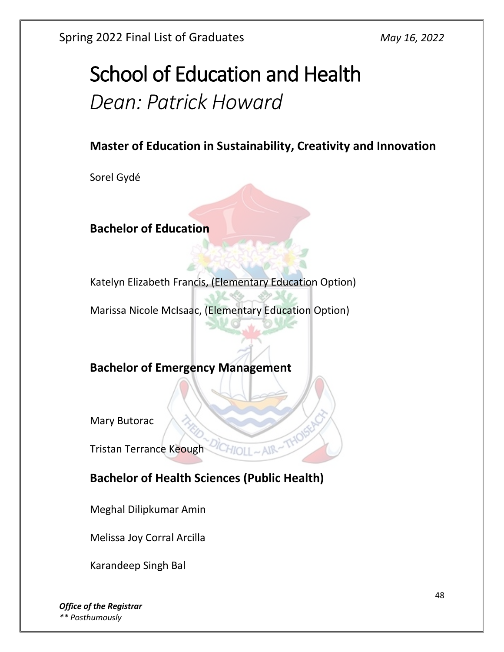# School of Education and Health *Dean: Patrick Howard*

# **Master of Education in Sustainability, Creativity and Innovation**

Sorel Gydé

**Bachelor of Education**

Katelyn Elizabeth Francis, (Elementary Education Option)

Marissa Nicole McIsaac, (Elementary Education Option)

#### **Bachelor of Emergency Management**

Mary Butorac

Tristan Terrance Keough

# **Bachelor of Health Sciences (Public Health)**

Meghal Dilipkumar Amin

Melissa Joy Corral Arcilla

Karandeep Singh Bal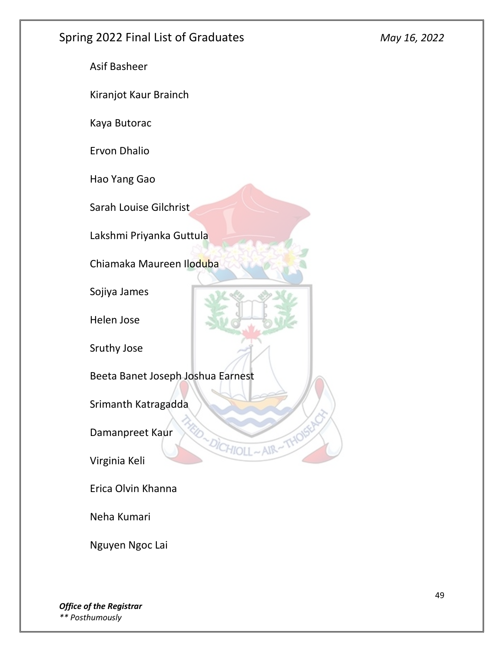Asif Basheer Kiranjot Kaur Brainch Kaya Butorac Ervon Dhalio Hao Yang Gao Sarah Louise Gilchrist Lakshmi Priyanka Guttula Chiamaka Maureen Iloduba Sojiya James Helen Jose Sruthy Jose Beeta Banet Joseph Joshua Earnest Srimanth Katragadda Damanpreet Kaur DICHIOLL AIR: Virginia Keli Erica Olvin Khanna

Neha Kumari

Nguyen Ngoc Lai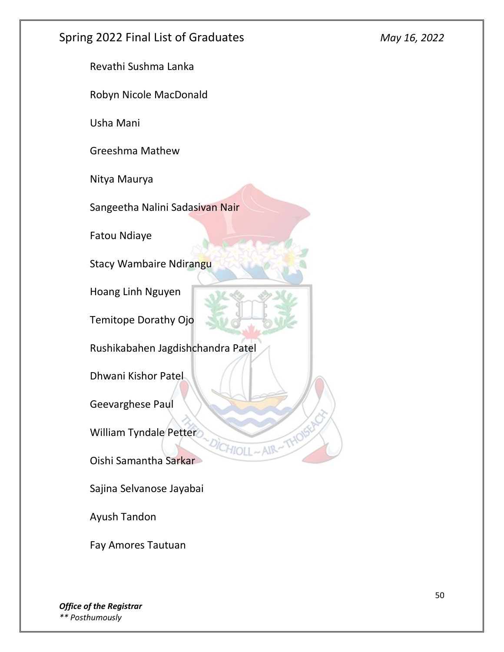Revathi Sushma Lanka

Robyn Nicole MacDonald

Usha Mani

Greeshma Mathew

Nitya Maurya

Sangeetha Nalini Sadasivan Nair

Fatou Ndiaye

Stacy Wambaire Ndirangu

Hoang Linh Nguyen

Temitope Dorathy Ojo

Rushikabahen Jagdishchandra Patel

HIOLI

AIR

Dhwani Kishor Patel

Geevarghese Paul

William Tyndale Petter

Oishi Samantha Sarkar

Sajina Selvanose Jayabai

Ayush Tandon

Fay Amores Tautuan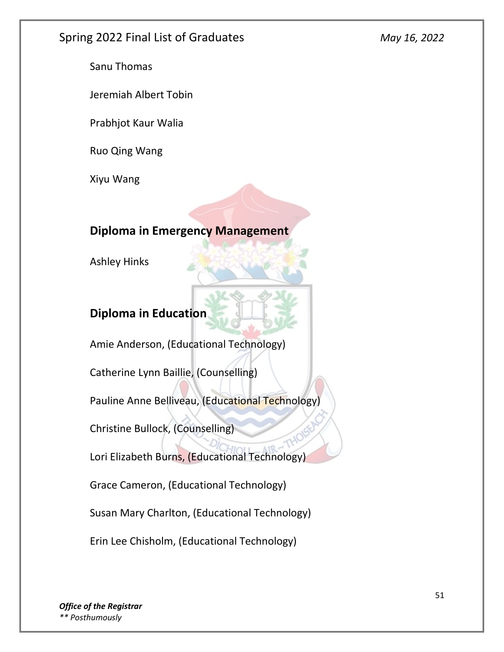Sanu Thomas

Jeremiah Albert Tobin

Prabhjot Kaur Walia

Ruo Qing Wang

Xiyu Wang

# **Diploma in Emergency Management**

Ashley Hinks

# **Diploma in Education**

Amie Anderson, (Educational Technology)

Catherine Lynn Baillie, (Counselling)

Pauline Anne Belliveau, (Educational Technology)

Christine Bullock, (Counselling)

Lori Elizabeth Burns, (Educational Technology)

Grace Cameron, (Educational Technology)

Susan Mary Charlton, (Educational Technology)

Erin Lee Chisholm, (Educational Technology)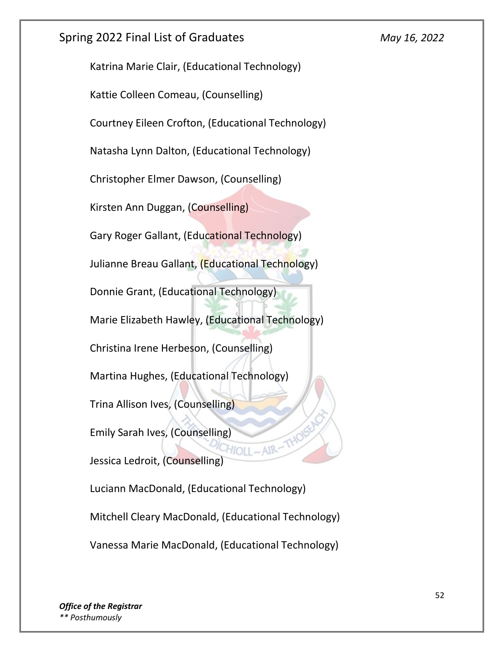Katrina Marie Clair, (Educational Technology) Kattie Colleen Comeau, (Counselling) Courtney Eileen Crofton, (Educational Technology) Natasha Lynn Dalton, (Educational Technology) Christopher Elmer Dawson, (Counselling) Kirsten Ann Duggan, (Counselling) Gary Roger Gallant, (Educational Technology) Julianne Breau Gallant, (Educational Technology) Donnie Grant, (Educational Technology) Marie Elizabeth Hawley, (Educational Technology) Christina Irene Herbeson, (Counselling) Martina Hughes, (Educational Technology) Trina Allison Ives, (Counselling) Emily Sarah Ives, (Counselling) Jessica Ledroit, (Counselling) Luciann MacDonald, (Educational Technology) Mitchell Cleary MacDonald, (Educational Technology)

Vanessa Marie MacDonald, (Educational Technology)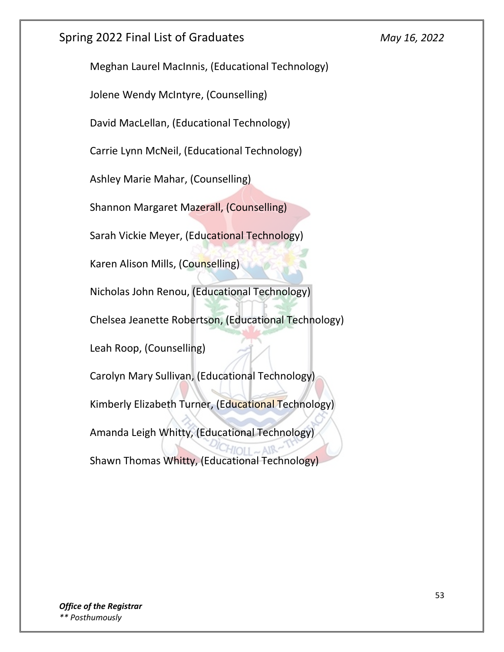Meghan Laurel MacInnis, (Educational Technology)

Jolene Wendy McIntyre, (Counselling)

David MacLellan, (Educational Technology)

Carrie Lynn McNeil, (Educational Technology)

Ashley Marie Mahar, (Counselling)

Shannon Margaret Mazerall, (Counselling)

Sarah Vickie Meyer, (Educational Technology)

Karen Alison Mills, (Counselling)

Nicholas John Renou, (Educational Technology)

Chelsea Jeanette Robertson, (Educational Technology)

Leah Roop, (Counselling)

Carolyn Mary Sullivan, (Educational Technology) Kimberly Elizabeth Turner, (Educational Technology) Amanda Leigh Whitty, (Educational Technology) Shawn Thomas Whitty, (Educational Technology)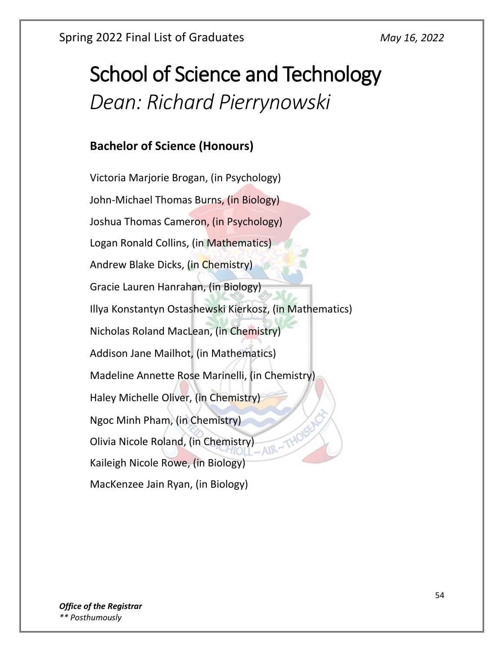# School of Science and Technology *Dean: Richard Pierrynowski*

# **Bachelor of Science (Honours)**

Victoria Marjorie Brogan, (in Psychology) John-Michael Thomas Burns, (in Biology) Joshua Thomas Cameron, (in Psychology) Logan Ronald Collins, (in Mathematics) Andrew Blake Dicks, (in Chemistry) Gracie Lauren Hanrahan, (in Biology) Illya Konstantyn Ostashewski Kierkosz, (in Mathematics) Nicholas Roland MacLean, (in Chemistry) Addison Jane Mailhot, (in Mathematics) Madeline Annette Rose Marinelli, (in Chemistry) Haley Michelle Oliver, (in Chemistry) Ngoc Minh Pham, (in Chemistry) Olivia Nicole Roland, (in Chemistry)  $-AIR - TY$ Kaileigh Nicole Rowe, (in Biology) MacKenzee Jain Ryan, (in Biology)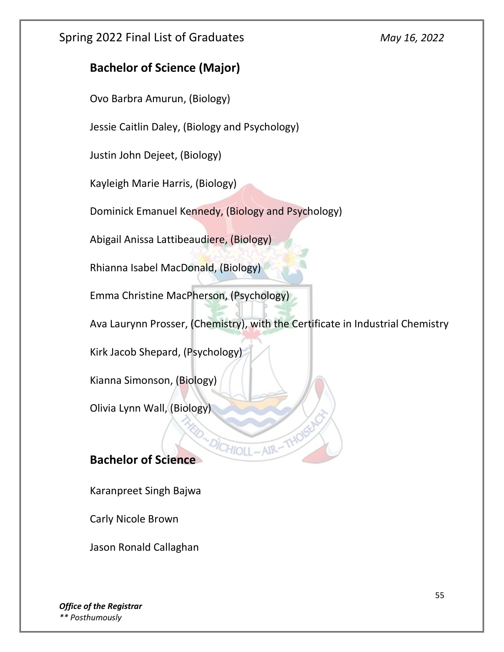#### **Bachelor of Science (Major)**

Ovo Barbra Amurun, (Biology)

Jessie Caitlin Daley, (Biology and Psychology)

Justin John Dejeet, (Biology)

Kayleigh Marie Harris, (Biology)

Dominick Emanuel Kennedy, (Biology and Psychology)

Abigail Anissa Lattibeaudiere, (Biology)

Rhianna Isabel MacDonald, (Biology)

Emma Christine MacPherson, (Psychology)

Ava Laurynn Prosser, (Chemistry), with the Certificate in Industrial Chemistry

 $HIO11$ 

Kirk Jacob Shepard, (Psychology)

Kianna Simonson, (Biology)

Olivia Lynn Wall, (Biology)

# **Bachelor of Science**

Karanpreet Singh Bajwa

Carly Nicole Brown

Jason Ronald Callaghan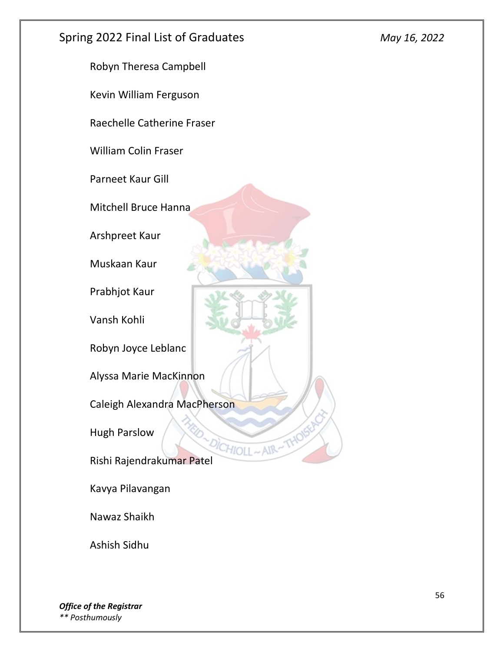![](_page_55_Picture_2.jpeg)

Ashish Sidhu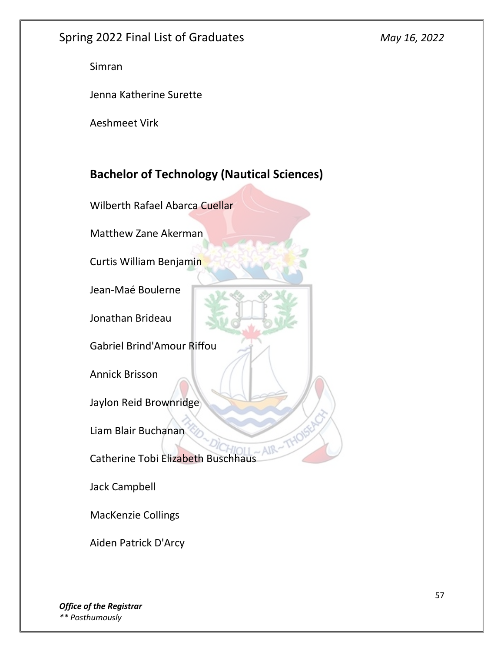Simran

Jenna Katherine Surette

Aeshmeet Virk

# **Bachelor of Technology (Nautical Sciences)**

Wilberth Rafael Abarca Cuellar

Matthew Zane Akerman

Curtis William Benjamin

Jean-Maé Boulerne

Jonathan Brideau

Gabriel Brind'Amour Riffou

Annick Brisson

Jaylon Reid Brownridge

Liam Blair Buchanan

Catherine Tobi Elizabeth Buschhaus

 $-$  AIR

Jack Campbell

MacKenzie Collings

Aiden Patrick D'Arcy

*Office of the Registrar \*\* Posthumously*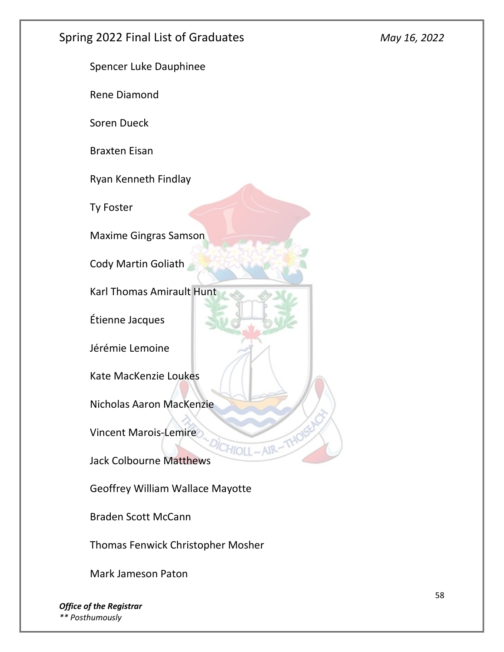![](_page_57_Picture_2.jpeg)

Geoffrey William Wallace Mayotte

Braden Scott McCann

Thomas Fenwick Christopher Mosher

Mark Jameson Paton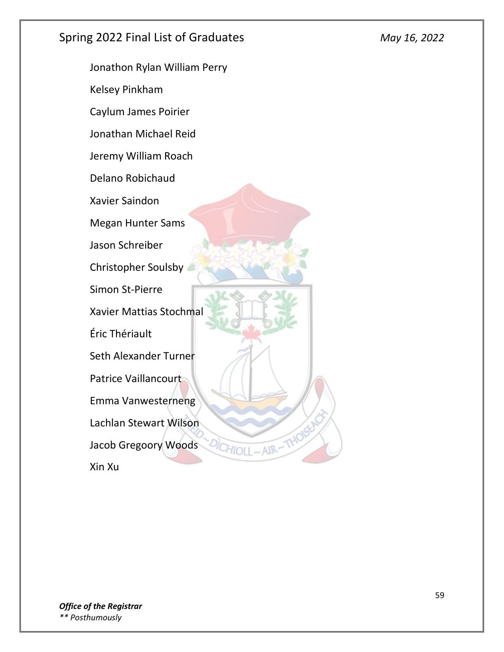Jonathon Rylan William Perry Kelsey Pinkham Caylum James Poirier Jonathan Michael Reid Jeremy William Roach Delano Robichaud Xavier Saindon Megan Hunter Sams Jason Schreiber Christopher Soulsby Simon St-Pierre Xavier Mattias Stochmal Éric Thériault Seth Alexander Turner Patrice Vaillancourt Emma Vanwesterneng Lachlan Stewart Wilson Jacob Gregoory Woods <sup>ICHIOLI</sup>~AIR Xin Xu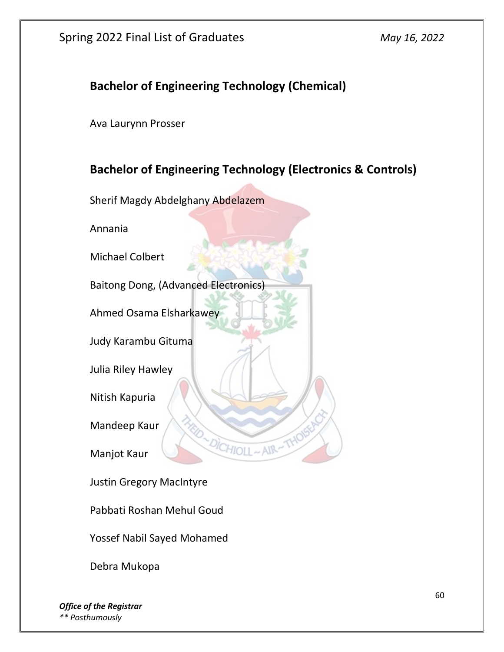#### **Bachelor of Engineering Technology (Chemical)**

Ava Laurynn Prosser

#### **Bachelor of Engineering Technology (Electronics & Controls)**

Sherif Magdy Abdelghany Abdelazem

Annania

Michael Colbert

Baitong Dong, (Advanced Electronics)

Ahmed Osama Elsharkawey

Judy Karambu Gituma

Julia Riley Hawley

Nitish Kapuria

Mandeep Kaur

Manjot Kaur

Justin Gregory MacIntyre

Pabbati Roshan Mehul Goud

Yossef Nabil Sayed Mohamed

Debra Mukopa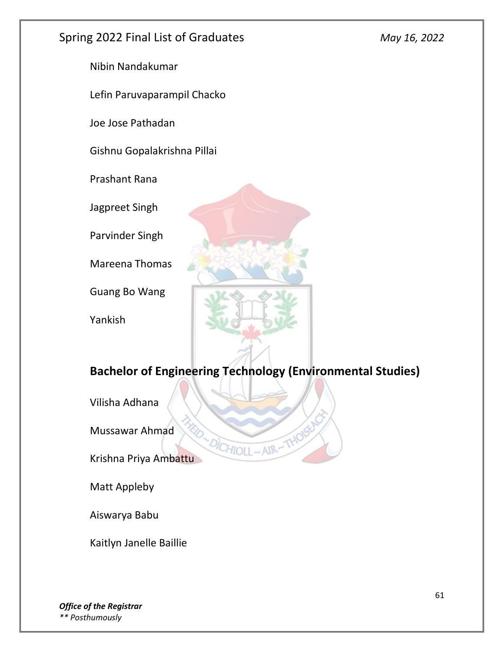Nibin Nandakumar

Lefin Paruvaparampil Chacko

Joe Jose Pathadan

Gishnu Gopalakrishna Pillai

Prashant Rana

Jagpreet Singh

Parvinder Singh

Mareena Thomas

Guang Bo Wang

Yankish

![](_page_60_Picture_12.jpeg)

# **Bachelor of Engineering Technology (Environmental Studies)**

HIOLI

Vilisha Adhana

Mussawar Ahmad

Krishna Priya Ambattu

Matt Appleby

Aiswarya Babu

Kaitlyn Janelle Baillie

*Office of the Registrar \*\* Posthumously*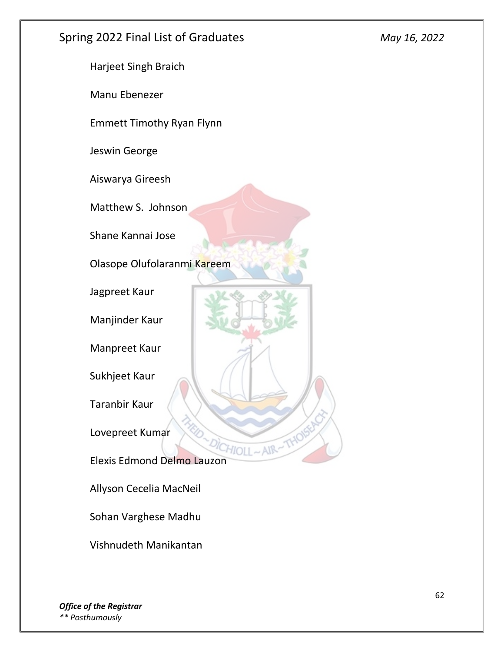Harjeet Singh Braich Manu Ebenezer Emmett Timothy Ryan Flynn Jeswin George Aiswarya Gireesh Matthew S. Johnson Shane Kannai Jose Olasope Olufolaranmi Kareem Jagpreet Kaur Manjinder Kaur Manpreet Kaur Sukhjeet Kaur Taranbir Kaur Lovepreet Kumar Elexis Edmond Delmo Lauzon Allyson Cecelia MacNeil Sohan Varghese Madhu

Vishnudeth Manikantan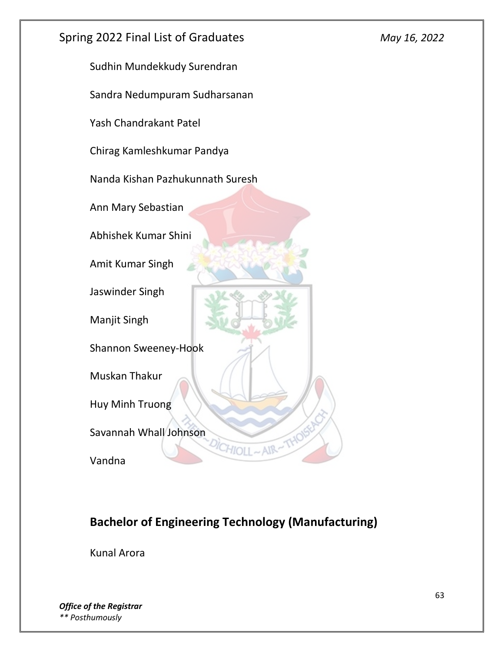![](_page_62_Picture_0.jpeg)

# **Bachelor of Engineering Technology (Manufacturing)**

Kunal Arora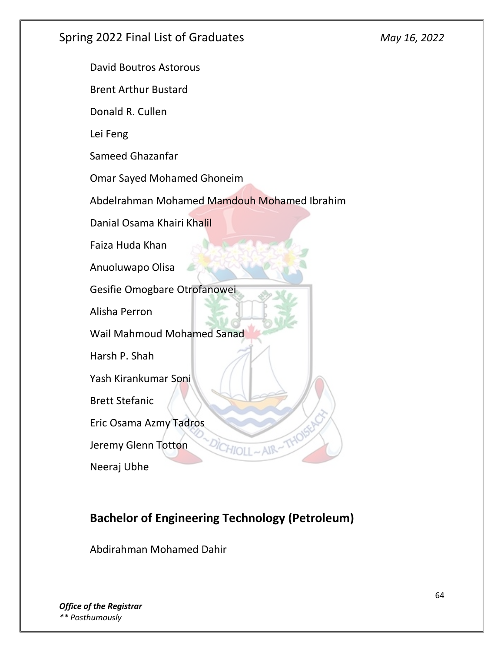David Boutros Astorous

Brent Arthur Bustard

Donald R. Cullen

Lei Feng

Sameed Ghazanfar

Omar Sayed Mohamed Ghoneim

Abdelrahman Mohamed Mamdouh Mohamed Ibrahim

Danial Osama Khairi Khalil

Faiza Huda Khan

Anuoluwapo Olisa

Gesifie Omogbare Otrofanowei

Alisha Perron

Wail Mahmoud Mohamed Sanad

Harsh P. Shah

Yash Kirankumar Soni

Brett Stefanic

Eric Osama Azmy Tadros

Jeremy Glenn Totton

Neeraj Ubhe

# **Bachelor of Engineering Technology (Petroleum)**

Abdirahman Mohamed Dahir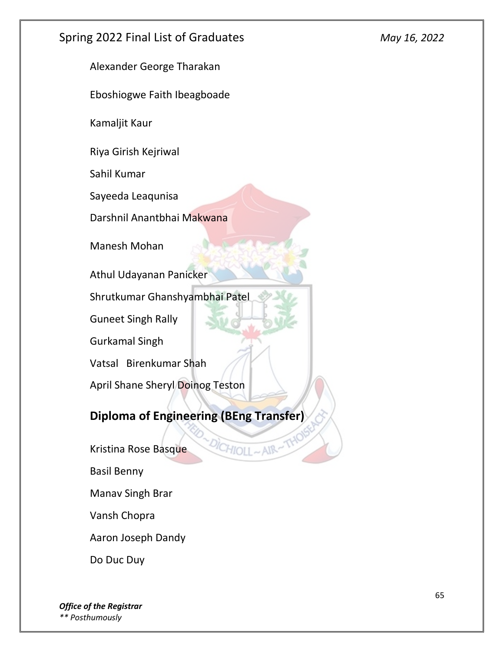Alexander George Tharakan

Eboshiogwe Faith Ibeagboade

Kamaljit Kaur

Riya Girish Kejriwal

Sahil Kumar

Sayeeda Leaqunisa

Darshnil Anantbhai Makwana

Manesh Mohan

Athul Udayanan Panicker

Shrutkumar Ghanshyambhai Patel

Guneet Singh Rally

Gurkamal Singh

Vatsal Birenkumar Shah

April Shane Sheryl Doinog Teston

#### **Diploma of Engineering (BEng Transfer)**

 $HIOII \sim AIR$ 

Kristina Rose Basque

Basil Benny

Manav Singh Brar

Vansh Chopra

Aaron Joseph Dandy

Do Duc Duy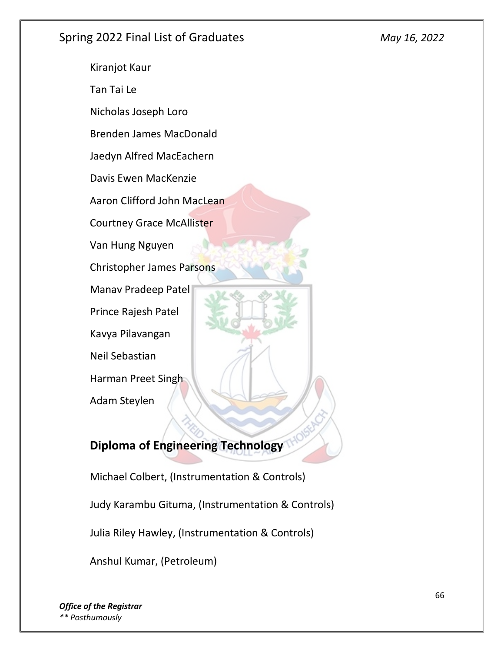Kiranjot Kaur Tan Tai Le Nicholas Joseph Loro Brenden James MacDonald Jaedyn Alfred MacEachern Davis Ewen MacKenzie Aaron Clifford John MacLean Courtney Grace McAllister Van Hung Nguyen Christopher James Parsons Manav Pradeep Patel Prince Rajesh Patel Kavya Pilavangan Neil Sebastian Harman Preet Singh Adam Steylen

# **Diploma of Engineering Technology**

Michael Colbert, (Instrumentation & Controls) Judy Karambu Gituma, (Instrumentation & Controls) Julia Riley Hawley, (Instrumentation & Controls) Anshul Kumar, (Petroleum)

*Office of the Registrar \*\* Posthumously*